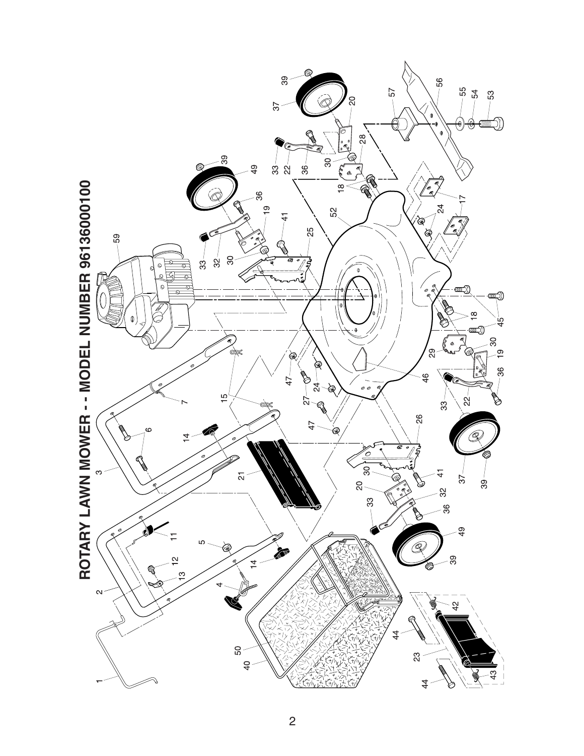